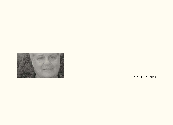

MARK JACOBS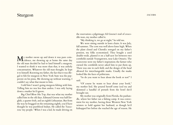## Sturgeon jacobs

My mother swore up and down it was pure coin-cidence, me showing up at home the same day the old man decided he had to land himself a sturgeon. I wanted to think it was more than that, it was unholy concatenation. Whatever the old man thought, he kept it to himself. Knowing my father, the fact that it was illegal to fish for sturgeon in New York State was the pepperoni on his pizza. Me showing up without warning, I couldn't say what that meant to him.

I told him I wasn't going sturgeon fishing with him. Telling him no was less than useless. I was only laying down a marker he'd ignore.

Big Chief Blow His Top, that was what my mother called him in the old days. Edmund Greene was half English, a quarter Irish, and an eighth Lithuanian. But from the way he bragged on the remaining eighth, you'd have thought he was pureblood Indian. He called the Tuscarora 'my people.' When I was a kid, he made driving on

the reservation a pilgrimage; Ed Greene's trail of crocodile tears, my mother called it.

"My thinking is, we go at night," he told me.

We were sitting outside in lawn chairs. It was July, full summer. The corn was well above knee high. When the plant closed and ChemEx reneged on my father's pension, my folks economized. They bought a used double-wide, planted it on a half-acre lot between two cornfields outside Youngstown, near Lake Ontario. The scarecrows were my father's inspiration; the farmer who owned the cornfields never asked him to put them up. There was one in each field, and the design of the head allowed for interchangeable masks. Usually the masks looked like the faces of politicians.

"So do you want to hear about the book or not?" I said.

"Of course he wants to hear about your book," my mother lied. She poured herself some iced tea and skimmed a handful of pretzels from the bowl she'd brought out.

My mother was originally from Florida, the panhandle, where her father ran a fishing camp. It was convenient for my mother, having those Western New York winters to hold against her husband, as though he'd kidnapped her before she reached the age of reason. He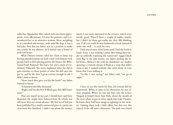called her Appalachee Slim, which had once been appropriate, even affectionate. I'd seen the pictures, and I remembered her as an attractive woman. Now, weighing in at a hundred and seventy, with arms like legs, it was a bad joke. Not that my father was in a position to make any cracks. In my absence, he'd turned into a barrel of pork and beans.

What Doreen Greene called her claim to fame was having attended parties on both coasts with famous rock groups back in their playing prime: the Stones, the Who, Grand Funk Railroad. She had a list, and a stack of evidentiary Polaroids. She never explained what she did to gain entrance to those parties or what she did once she got in, and by the time I grew curious enough to ask, I didn't want to know.

"How much they give you for the book?" my father wanted to know.

"A hundred and fifty thousand."

"Right, and I'm the H & R Block guy does Bill Gates' taxes."

That was stupid on my part. I should have said forty thousand. He might have believed forty K, which was still more than my actual advance. My first novel had just been published by a small commercial press in a print run of seventy-five hundred. I didn't care about the money,

much. I was more interested in the reviews, which were mostly good. There'd been a couple of snarky attacks, but I didn't let them get under my skin. My thinking was, if all you could do was badmouth a book instead of write one, well… to each his own.

I had stayed away from home until I had the book in hand. Years. I was making a point. But sitting there under an umbrella watching the scarecrows' ragged black arms flap in the July breeze, my father peeling the label from a Molson's Ale with his thumbnail, my mother spraying a constant stream of Raid at a wasp that didn't want to die, I realized nobody else cared about or even knew that I was making it.

"So like I was saying," my father said, "we go at night."

•

I have to say this much for him, Ed Greene did his homework. When it came to his obsessions, he was always prepped. When we cast our lines into the Lower Niagara at Joseph Davis State Park, above the mouth of the river where it spat its silver rapids into Lake Ontario, he knew there had been sturgeon sightings in the vicinity. Getting there took a little effort, but that was also typical of the old man's obsessions. The park was closed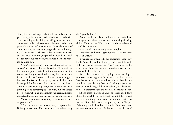at night, so we had to park the truck and walk with our gear through the summer dark, which was actually kind of a cool thing to be doing: sneaking under trees and across fields under an incomplete pale moon in the company of my marginally Tuscaroran father, the insects of summer raising their encouraging racket around us saying *Go ahead, only God owns the land, it's yours to trespass on*. We hiked down the gorge until we found a flat rock not too far above the water, which was black and moving fast, fast, fast.

"They've been seeing 'em in the eddies, the fish scientists," my father told me as he cast his 30-pound-test line into the pool. I waited a minute and cast after him, not an easy thing to do with that heavy line, but according to the old man's research, the few times a sturgeon had been hooked in the Niagara, the fish had instantly snapped the fisherman's line. We were using frozen shrimp as bait, from a package my mother had been planning to do something special with, but she voiced no objection when he lifted it from the freezer. In some respects it looked like they still had still a good marriage.

"What makes you think they weren't using thirty-pound test?"

"Trust me, those clowns were using ten-pound line. Nobody thinks ahead. Uncap me one of those beers why don't you, Nelson?"

So we made ourselves comfortable and waited for a sturgeon to nibble one of our presumably thawing shrimp. He asked me, "You know what the world record for a lake sturgeon is?"

I had no idea; did he really think I might?

"Hundred and sixty eight pounds, across the way there in Ontario."

I wished he would ask me something about my book. When I gave him his copy, he'd leafed through it the way people scanned the *World Weekly News* at the grocery checkout, then set it on the coffee table. Face up, anyway; he left it face up.

My father knew we were going about catching a sturgeon the wrong way. In his study of the creature he'd learned about running setlines. You anchored a line in a likely spot, having fixed hooks along it every ten feet or so, and snagged them in schools, if it happened to be an academic year and the fish matriculated. You could also catch sturgeon in a net, of course, but I don't think the possibility even crossed his mind. It was rod and reel or nothing. I understood why and respected his reasons. When Ed Greene was growing up in Niagara Falls, sturgeons had vanished from the river, fished and polluted out of existence. He listened to the oldtimers'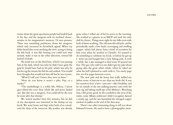stories about the giant specimens people had landed back in the day, and the sturgeon took on mythical characteristics in his imagination's memory. I'd seen pictures. There was something prehistoric about the sturgeon, which only increased its throwback appeal. When my father heard they were stocking the river, trying to bring the fish back, it was like hearing you could turn time around, make it run in the other direction, toward life instead of death.

His mind was on the third beer, which I was passing him in the dark, which was why he didn't have quite the grip he should have had on his pole, which was why he lost his rig the instant the fish bit and yanked. You would have thought that would tick him off, but he was ecstatic.

"What'd I tell you? I knew they were in there."

"How do you know it wasn't a pike, Pop, or a musky?"

"The muskellunge is a noble fish, Nelson. I know guys fished this river their whole life and never landed one. But this was a sturgeon. You could tell by the way he went after that shrimp."

We waited another forty five minutes, but no fish of any description was interested in the shrimp on my hook. We went home and slept what both of us considered the sleep of the innocent. My mother was already

gone when I rolled out of bed at seven in the morning. She worked as a greeter at an IHOP and took the early shift by choice. Things were tight for my folks even with both of them working. The old man did odd jobs, and he periodically made a few bucks scavenging and reselling copper, which had always been a kind of avocation for him even when he worked at ChemEx. I'd wanted to do something to celebrate my book, so before he got up I went out and bought him a new fishing pole. It took a while, but I also managed to find some 80-pound test line. The guy who sold it to me didn't get my joke about going after the great white whale, when he asked me what the hell I planned to catch with it. Too many page hits, too few pages between covers.

The new pole and the heavy line really tickled my father; more, it hurt me to see, than my book did. It was his custom to have a beer – just one – after breakfast, and he sat outside in the sun making practice casts with the new rig and taking small sips of his Molson's. Watching him, I felt pretty good. In the cornfield to the west of the trailer, some Albany politician I didn't recognize danced a windy jig, and the sun burnished the salvaged copper stacked on pallets at the end of the driveway.

There's one other interesting thing to tell you about Edmund Greene. He used to have a photographic mem-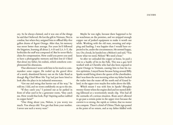ory. So he always claimed, and it was one of the things he said that I believed. He lost the gift in Vietnam. Not in combat, but when they assigned him to offload fifty-five gallon drums of Agent Orange. After that, his memory was never better than average. For years he'd followed the litigation, learning all about 2, 4-D and 2,4, 5-T, the herbicides the stuff was composed of. But he never filed a claim for compensation. How could you prove you used to have a photographic memory and then lost it? I liked that about my father, his realism, which somehow complemented his obsessions.

That afternoon I went with him in his truck to commandeer some copper. He tooled up the gravel drive of a newly abandoned factory out on the Lake Road as though Big Chief Blow His Top had just been hired to look after the place in its industrial senescence.

"Get out and swing that barrier out of the way," he told me. I did, and we went confidently on up to the site.

"If they catch you," I pointed out as he parked in front of what used to be a generator room, "they catch me. How would that look, Pop? Aspiring author nabbed in copper heist?"

"One thing about you, Nelson, is you worry too much. You always did. You get that from your mother. I never saw such a worry wart."

Maybe he was right, because there happened to be no watchman on the premises, and we stripped enough copper out of junked equipment to make it worth our while. Working with the old man, sweating and stripping and hauling, I was happier than I would have expected to be, under the circumstances. He seemed happy, too. On a break, he handed me a Molson's and said, "You know what we need, Nelson? We need a boat."

So after we unloaded the copper at home, he paid a visit to a buddy of his in the Falls. This was a guy he'd worked with at ChemEx who had also been exposed to Agent Orange in Vietnam, causing him to lose his native optimism. I stayed home because being around Billy Sparks would bring down the queen of the cheerleaders. But I was there the next morning when my father backed the trailer into the water off the north end of Grand Island, in the upper river maybe five miles above the falls.

Which meant I was with him in Sparks' fiberglass twenty-footer when the engine died and we started drifting fallsward at a worrisomely steady clip. This had all the earmarks of a serious situation. Boats aren't allowed to go past a certain point in the upper river because the current is so strong, the rapids so violent, that no motor can compete. There's a kind of Ultima Thule sign posted at the point of no return, and as my father fiddled with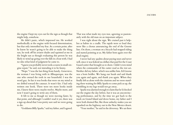the engine I kept my eyes out for the sign as though that might help, somehow.

He didn't panic, which impressed me. He worked methodically at the engine with focused determination, but that only intensified my fear. At a certain point, after he knew he wasn't going to be able to make the thing run, he took off his aviator shades and squinted at me in the bright sun as though evaluating this person he was likely to wind up going over the falls in a boat with. I had no idea what kind of judgment he came to.

"I guess you probably never took a course in small-engine repair," he said, not intending it to be funny.

"Nope." I was the last thing from handy. Genevieve, the woman I was living with in Albuquerque, was the one who owned the tools in our household. I was the word guy. In fact it was books that were on my mind as we drifted toward the cataract. It wasn't fair. I had only written one book. There were ten more books inside me, I knew there were; maybe twelve. Maybe more, and now I wasn't going to write any of them.

It felt to me as though we were moving faster, by that point, and although I couldn't read it yet, there was a sign up ahead that I was pretty sure said we were going to die.

"Goddamn Billy Sparks," said my father, and I agreed.

That was what made my eyes tear, agreeing so passionately with the old man on an important subject.

I was right about the sign. We cruised past it helpless as babies in a cradle. The rapids were so loud they were like a chorus announcing the end of the Greene line. On shore, a woman on a bicycle had stopped riding and started pointing at us. My father bent again over the dead engine.

I never had any qualms about paying taxes and never will, since it was federal tax dollars that paid for the Coast Guard cutter that brought us to shore. I didn't even mind when the commander of the cutter read us the riot act. Neither did my father, which was unlike him. Ed Greene was a born bridler. We hung our heads and said thank you again and again, and thank you again. When they finally left us alone with the citations and we were standing there waiting for Billy Sparks to come pick us up, the trembling in my legs would not go away.

Sparks was alarmed enough to claim that he'd checked out the engine the day before, but it was an unconvincing performance, and by the time we got back to the truck on Grand Island and drove home, my father and I were both drained flat, like those unlucky snakes you see squashed on the highway out in the New Mexico desert.

"Your mother," he said in the driveway. We sat there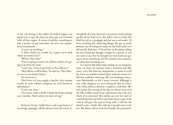in the cab staring at the pallets of stacked copper, too wiped out to open the door, let alone get out. It looked solid, all that copper. A vision of stability, something to take a picture of and remember, the way you remembered monuments.

"I won't say anything."

"I didn't think you would. So, I guess we're back where we started, hey?"

"Where's that, Pop?"

"If we're going to catch one of those suckers, it's going to be from dry land."

"I can't stay. I have to get back to New Mexico."

"New Mexico will be there," he told me. "New Mexico ain't in any kind of hurry."

"It's Genevieve."

"She'd love it if you caught a big fish. Any woman would. In some cultures, sturgeons are well known as aphrodisiacs."

"I can't stay, Pop."

"You know what I think? I think the frozen shrimp was a mistake. That's where we went wrong."

•

He knew I'd stay. I didn't have a job to get back to. I was living, sparingly, off the advance from the novel, al-

though the fact was, Genevieve was pretty much picking up the tab for both of us. She didn't seem to mind. She liked her job as a paralegal, and she was a real reader. I'd been watching her, observing things. She got as much pleasure out of seeing my name on the book jacket as I did myself. And once, I'd heard her on the phone telling her best friend she thought I might be a genius. It was too soon to say, but she thought my next book was going to prove something, and she wanted to be around to see what that something was.

So I stayed. My father kept reading up on sturgeons. Some of them, he learned, lived a hundred and fifty years, a fact that fired my imagination as much as it did his. Even my mother seemed taken with the notion of a fish that could live that long. We were hunting a lacustrine Methuselah, or did I mean riverine? Although it was a lake sturgeon, we were fishing for him in a river. One of his relatives, anyway; a nephew, a kid sister. We had a party the evening of the day we almost went over the falls in Billy Sparks' boat, information that only two thirds of us possessed. My mother got out her stack of curled Polaroids and told us anecdotes about some of the rock & roll guys she used to hang with. I told her she should write a book. She told me I should write it for her. My father told us both he'd handle the promotion.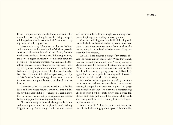It was a surprise ceasefire in the life of our family that should have fixed anything that needed fixing, except it still bugged me that the old man hadn't even picked up my novel. It really bugged me.

Next morning my father went to a butcher he liked and came home with a cooler full of chicken gizzards. We went back to Grand Island and tried fishing from the north shore. No luck. Then we tried different spots along the Lower Niagara, anyplace we could climb down the gorge to get to, hauling our stuff, which included a Styrofoam cooler. No luck. Sturgeon had supposedly been sighted by divers at the mouth of the river, and against both our better judgment my father borrowed another boat. We tried a few of the shallow spots along the edge of Lake Ontario. Once the fish got loose in the lake finding them was an impossible long shot, though, and we knew it.

Genevieve called. She said she missed me. I called her back, told her I missed her, too, which was true. I didn't say anything about fishing for sturgeon. I didn't know how to make it come out right. Albuquerque seemed farther away, just then, than it probably was.

We went through a lot of chicken gizzards. At the end of an eighty-pound line, a gizzard doesn't feel any bigger than a fly. Once I caught a thirty-pound channel

cat but threw it back. It was an ugly fish, nothing whatsoever inspiring about landing or looking at one.

Genevieve called again to say she liked sleeping with me in the bed a lot better than sleeping alone. Also, she'd found a new Vietnamese restaurant she wanted to take me to. Also, she wondered whether I was taking any notes for the next story.

As a kid, I had survived a string of my father's obsessions, which usually ended badly. When they didn't, he got distracted. This was different. Nothing seemed to shake him from his pursuit of the sturgeon, and when I'd been home a week and a half, over his post-breakfast beer he told me we were going to try Joseph Davis Park again. This time we'd go in the evening, while it was still light and he could see what he was doing.

My mother packed supper for us, and by late afternoon we were back on the same flat rock we'd started out on, the night the old man lost his pole. The gorge was tranquil in shadow. The river was a heartbreaking shade of green I will probably always lack a word for. Brown and white gulls grazed the boiling white rapids and rose, grazed and rose. I lost my bait. Lost it again. My father lost his.

And then he didn't. This time when the fish went for his bait, he had a firm grip on his pole. It bent double,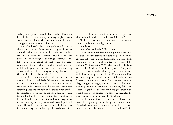and my father yanked to set the hook in the fish's mouth. It could have been anything: a musky, a pike, maybe even a bass. But I knew what my father knew, that it was a sturgeon on the other end of his line.

It was hard work, playing a big fish with that heavy, clumsy line, and my father was not in good shape. He grunted with every movement his body made, voluntary or involuntary. He sweated everywhere. His face turned the color of righteous outrage. Meanwhile, the fish, which was in excellent physical condition, conceded nothing. It took back every inch of line the old man reeled in. I opened a beer. I watched. It was like a tug of war, and the fish had every advantage but one: Ed Greene didn't have a hook in his lip.

After fifteen minutes of that back and forth my father was played out, while the fish was not. After twenty minutes, I thought about offering to take over but decided I shouldn't. After twenty five minutes, the old man carefully passed me the pole, and I played it for another ten minutes or so. In the end the fish would have won, but the hook in his lip was set too deeply, and the fat line held, and the pole was lithe and strong, capable of infinite bending, and my father and I could spell each other. The archaic monster we landed looked to me like it might go sixty pounds, but my father said seventy five.

I stood there with my feet on it as it gasped and thrashed on the rock. "Should I throw it back in?"

"Hell, no. That was too damn much work, to turn around and let the bastard go again."

"It's illegal."

"Not after that kind of effort it's not."

So we waited until dark, finishing my mother's picnic supper and the better part of two six-packs. Then we sneaked out of the park and dumped the sturgeon, which meantime had expired with dignity, into the back of the pickup. We drove to the M-60, a bar my father liked out on Saunders Settlement Road run by an ex-Army tank gunner. Ed knew maybe half the guys who came outside to look at the sturgeon, but the M-60 was not the kind of bar whose patrons would call up the fish and game police – if that's who you called in these cases – to report an illegal sturgeon. One guy who lived nearby took it home and weighed it on his bathroom scale, and my father was closer to right than I'd been: our fish weighed seventy six pounds and eleven ounces. The scale was accurate, the guy claimed; his wife did Weight Watchers.

For the moment, time was moving backwards, toward the beginning, for a change, and not the end. Everybody who saw the sturgeon wanted to buy us a round, and my father wanted to buy a round, and I did,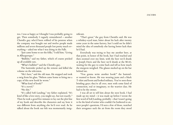too. I was as happy as I thought I was probably going to get. Then somebody I vaguely remembered – another ChemEx guy who'd been robbed of his pension when the company was bought out and twelve people made millions and seven thousand people lost pretty much everything – asked me what I was doing in the Falls.

"Just came home to see the folks," I told him. "Living in Albuquerque."

"Bullshit," said my father, which of course pricked up all available ears.

"What's bullshit?" said the ChemEx guy.

The bartender picked up the remote and killed the volume on the television.

"He's here," said the old man. He stopped and took a swig from his glass. "Nelson came home to bring me a copy of this new book he wrote."

"What kind of book?"

"It's a novel."

"No shit."

"It's called Soft Landing," my father explained. "It's kind of like a love story, you might say, but not exactly." Then he took a good five minutes to lay out the plot line of my book and describe the characters and say how it was different from anything else he'd ever read. As he talked about the book our fish was momentarily insignificant.

"That's great," the guy from ChemEx said. He was a whiskey-eyed man, bitter about his luck after twenty some years in the same factory, but I could see he didn't mind the idea of somebody else having better luck than he'd had.

Everybody was trying to buy me another beer, at that point, in honor of the book, but I had reached and then zoomed over my limit, with the beer we'd drunk at Joseph Davis and the beer we'd drunk at the M-60, waiting for the guy to come back and tell us how much the sturgeon weighed. The glasses stacked up on the bar behind me.

"You gonna write another book?" the bartender wanted to know. He was wearing jeans and a black T-shirt and boots and looked military. You've seen those bristling guys; they're all over, men with some kind of connection, real or imaginary, to the warrior class. He had to be the owner.

I was all set to tell him about the next book. I had made up my mind – it was made up before I wrote the first word of Soft Landing, probably – that I wasn't going to be the kind of writer who couldn't be bothered to answer people's questions. I'd seen a few of those, watched their arrogance suck the air from the room they stood